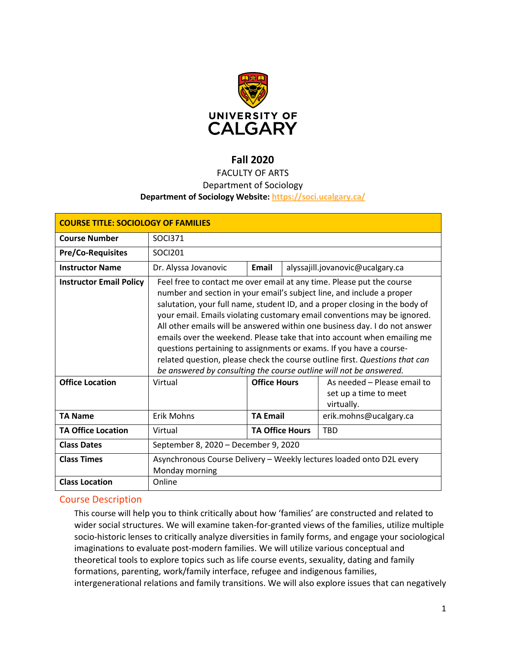

# **Fall 2020**

### FACULTY OF ARTS

#### Department of Sociology

### **Department of Sociology Website:<https://soci.ucalgary.ca/>**

| <b>COURSE TITLE: SOCIOLOGY OF FAMILIES</b> |                                                                                                                                                                                                                                                                                                                                                                                                                                                                                                                                                                                                                                                                                                |                        |  |                                                                    |
|--------------------------------------------|------------------------------------------------------------------------------------------------------------------------------------------------------------------------------------------------------------------------------------------------------------------------------------------------------------------------------------------------------------------------------------------------------------------------------------------------------------------------------------------------------------------------------------------------------------------------------------------------------------------------------------------------------------------------------------------------|------------------------|--|--------------------------------------------------------------------|
| <b>Course Number</b>                       | <b>SOCI371</b>                                                                                                                                                                                                                                                                                                                                                                                                                                                                                                                                                                                                                                                                                 |                        |  |                                                                    |
| <b>Pre/Co-Requisites</b>                   | SOCI201                                                                                                                                                                                                                                                                                                                                                                                                                                                                                                                                                                                                                                                                                        |                        |  |                                                                    |
| <b>Instructor Name</b>                     | Dr. Alyssa Jovanovic                                                                                                                                                                                                                                                                                                                                                                                                                                                                                                                                                                                                                                                                           | Email                  |  | alyssajill.jovanovic@ucalgary.ca                                   |
| <b>Instructor Email Policy</b>             | Feel free to contact me over email at any time. Please put the course<br>number and section in your email's subject line, and include a proper<br>salutation, your full name, student ID, and a proper closing in the body of<br>your email. Emails violating customary email conventions may be ignored.<br>All other emails will be answered within one business day. I do not answer<br>emails over the weekend. Please take that into account when emailing me<br>questions pertaining to assignments or exams. If you have a course-<br>related question, please check the course outline first. Questions that can<br>be answered by consulting the course outline will not be answered. |                        |  |                                                                    |
| <b>Office Location</b>                     | Virtual                                                                                                                                                                                                                                                                                                                                                                                                                                                                                                                                                                                                                                                                                        | <b>Office Hours</b>    |  | As needed - Please email to<br>set up a time to meet<br>virtually. |
| <b>TA Name</b>                             | <b>Erik Mohns</b>                                                                                                                                                                                                                                                                                                                                                                                                                                                                                                                                                                                                                                                                              | <b>TA Email</b>        |  | erik.mohns@ucalgary.ca                                             |
| <b>TA Office Location</b>                  | Virtual                                                                                                                                                                                                                                                                                                                                                                                                                                                                                                                                                                                                                                                                                        | <b>TA Office Hours</b> |  | <b>TBD</b>                                                         |
| <b>Class Dates</b>                         | September 8, 2020 - December 9, 2020                                                                                                                                                                                                                                                                                                                                                                                                                                                                                                                                                                                                                                                           |                        |  |                                                                    |
| <b>Class Times</b>                         | Asynchronous Course Delivery - Weekly lectures loaded onto D2L every<br>Monday morning                                                                                                                                                                                                                                                                                                                                                                                                                                                                                                                                                                                                         |                        |  |                                                                    |
| <b>Class Location</b>                      | Online                                                                                                                                                                                                                                                                                                                                                                                                                                                                                                                                                                                                                                                                                         |                        |  |                                                                    |

### Course Description

This course will help you to think critically about how 'families' are constructed and related to wider social structures. We will examine taken-for-granted views of the families, utilize multiple socio-historic lenses to critically analyze diversities in family forms, and engage your sociological imaginations to evaluate post-modern families. We will utilize various conceptual and theoretical tools to explore topics such as life course events, sexuality, dating and family formations, parenting, work/family interface, refugee and indigenous families, intergenerational relations and family transitions. We will also explore issues that can negatively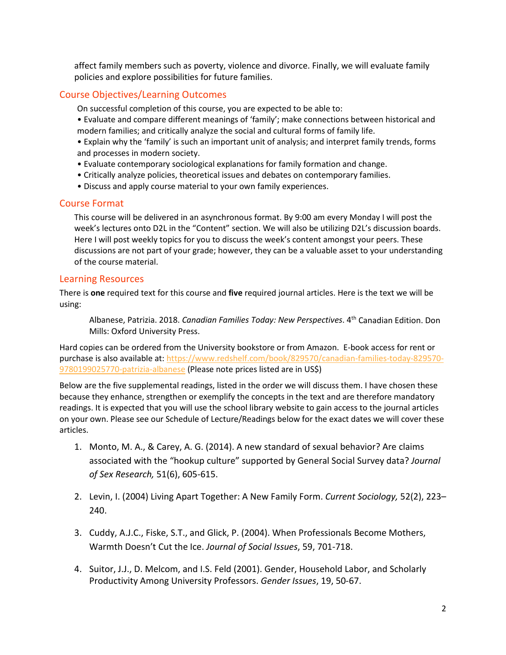affect family members such as poverty, violence and divorce. Finally, we will evaluate family policies and explore possibilities for future families.

### Course Objectives/Learning Outcomes

On successful completion of this course, you are expected to be able to:

- Evaluate and compare different meanings of 'family'; make connections between historical and modern families; and critically analyze the social and cultural forms of family life.
- Explain why the 'family' is such an important unit of analysis; and interpret family trends, forms and processes in modern society.
- Evaluate contemporary sociological explanations for family formation and change.
- Critically analyze policies, theoretical issues and debates on contemporary families.
- Discuss and apply course material to your own family experiences.

### Course Format

This course will be delivered in an asynchronous format. By 9:00 am every Monday I will post the week's lectures onto D2L in the "Content" section. We will also be utilizing D2L's discussion boards. Here I will post weekly topics for you to discuss the week's content amongst your peers. These discussions are not part of your grade; however, they can be a valuable asset to your understanding of the course material.

### Learning Resources

There is **one** required text for this course and **five** required journal articles. Here is the text we will be using:

Albanese, Patrizia. 2018. *Canadian Families Today: New Perspectives*. 4th Canadian Edition. Don Mills: Oxford University Press.

Hard copies can be ordered from the University bookstore or from Amazon. E-book access for rent or purchase is also available at[: https://www.redshelf.com/book/829570/canadian-families-today-829570-](https://www.redshelf.com/book/829570/canadian-families-today-829570-9780199025770-patrizia-albanese) [9780199025770-patrizia-albanese](https://www.redshelf.com/book/829570/canadian-families-today-829570-9780199025770-patrizia-albanese) (Please note prices listed are in US\$)

Below are the five supplemental readings, listed in the order we will discuss them. I have chosen these because they enhance, strengthen or exemplify the concepts in the text and are therefore mandatory readings. It is expected that you will use the school library website to gain access to the journal articles on your own. Please see our Schedule of Lecture/Readings below for the exact dates we will cover these articles.

- 1. Monto, M. A., & Carey, A. G. (2014). A new standard of sexual behavior? Are claims associated with the "hookup culture" supported by General Social Survey data? *Journal of Sex Research,* 51(6), 605*-*615.
- 2. Levin, I. (2004) Living Apart Together: A New Family Form. *Current Sociology,* 52(2), 223– 240.
- 3. Cuddy, A.J.C., Fiske, S.T., and Glick, P. (2004). When Professionals Become Mothers, Warmth Doesn't Cut the Ice. *Journal of Social Issues*, 59, 701-718.
- 4. Suitor, J.J., D. Melcom, and I.S. Feld (2001). Gender, Household Labor, and Scholarly Productivity Among University Professors. *Gender Issues*, 19, 50-67.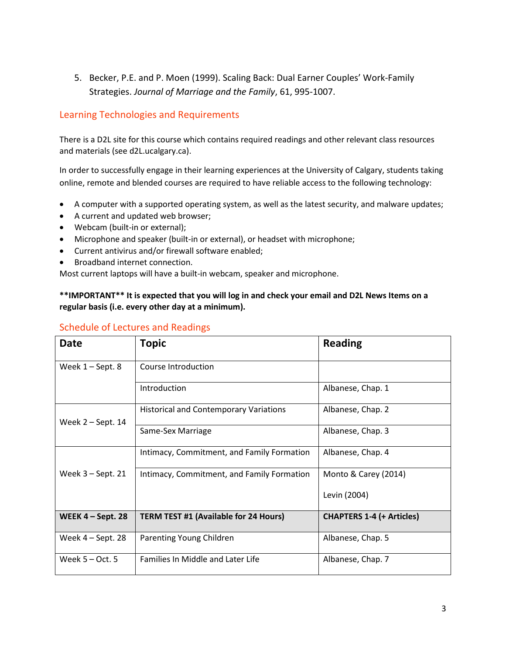5. Becker, P.E. and P. Moen (1999). Scaling Back: Dual Earner Couples' Work-Family Strategies. *Journal of Marriage and the Family*, 61, 995-1007.

## Learning Technologies and Requirements

There is a D2L site for this course which contains required readings and other relevant class resources and materials (see d2L.ucalgary.ca).

In order to successfully engage in their learning experiences at the University of Calgary, students taking online, remote and blended courses are required to have reliable access to the following technology:

- A computer with a supported operating system, as well as the latest security, and malware updates;
- A current and updated web browser;
- Webcam (built-in or external);
- Microphone and speaker (built-in or external), or headset with microphone;
- Current antivirus and/or firewall software enabled;
- Broadband internet connection.

Most current laptops will have a built-in webcam, speaker and microphone.

### **\*\*IMPORTANT\*\* It is expected that you will log in and check your email and D2L News Items on a regular basis (i.e. every other day at a minimum).**

| <b>Date</b>         | <b>Topic</b>                                  | <b>Reading</b>                   |
|---------------------|-----------------------------------------------|----------------------------------|
| Week $1 -$ Sept. 8  | Course Introduction                           |                                  |
|                     | Introduction                                  | Albanese, Chap. 1                |
| Week $2 -$ Sept. 14 | <b>Historical and Contemporary Variations</b> | Albanese, Chap. 2                |
|                     | Same-Sex Marriage                             | Albanese, Chap. 3                |
|                     | Intimacy, Commitment, and Family Formation    | Albanese, Chap. 4                |
| Week $3 -$ Sept. 21 | Intimacy, Commitment, and Family Formation    | Monto & Carey (2014)             |
|                     |                                               | Levin (2004)                     |
| WEEK $4 - Sept. 28$ | <b>TERM TEST #1 (Available for 24 Hours)</b>  | <b>CHAPTERS 1-4 (+ Articles)</b> |
| Week $4 -$ Sept. 28 | Parenting Young Children                      | Albanese, Chap. 5                |
| Week $5 - Oct. 5$   | Families In Middle and Later Life             | Albanese, Chap. 7                |

### Schedule of Lectures and Readings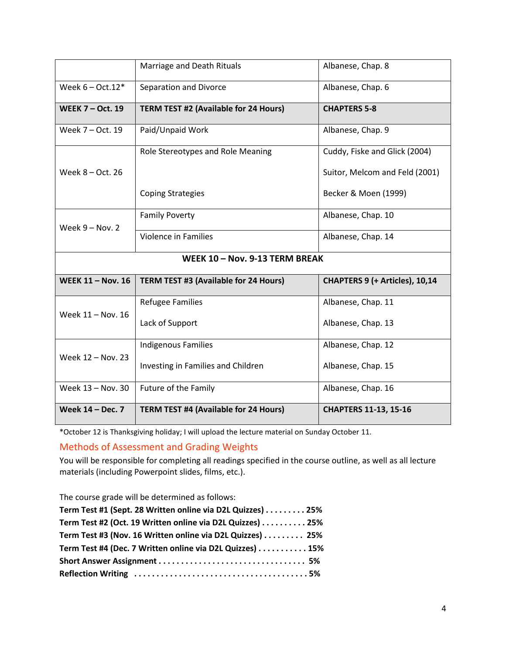|                                              | Marriage and Death Rituals            | Albanese, Chap. 8              |  |  |  |
|----------------------------------------------|---------------------------------------|--------------------------------|--|--|--|
| Week $6 - Oct.12*$<br>Separation and Divorce |                                       | Albanese, Chap. 6              |  |  |  |
| <b>WEEK 7 - Oct. 19</b>                      | TERM TEST #2 (Available for 24 Hours) | <b>CHAPTERS 5-8</b>            |  |  |  |
| Week 7 - Oct. 19                             | Paid/Unpaid Work                      | Albanese, Chap. 9              |  |  |  |
|                                              | Role Stereotypes and Role Meaning     | Cuddy, Fiske and Glick (2004)  |  |  |  |
| Week 8 - Oct. 26                             |                                       | Suitor, Melcom and Feld (2001) |  |  |  |
|                                              | <b>Coping Strategies</b>              | Becker & Moen (1999)           |  |  |  |
| Week $9 - Nov. 2$                            | <b>Family Poverty</b>                 | Albanese, Chap. 10             |  |  |  |
|                                              | <b>Violence in Families</b>           | Albanese, Chap. 14             |  |  |  |
| WEEK 10 - Nov. 9-13 TERM BREAK               |                                       |                                |  |  |  |
|                                              |                                       |                                |  |  |  |
| <b>WEEK 11 - Nov. 16</b>                     | TERM TEST #3 (Available for 24 Hours) | CHAPTERS 9 (+ Articles), 10,14 |  |  |  |
|                                              | <b>Refugee Families</b>               | Albanese, Chap. 11             |  |  |  |
| Week 11 - Nov. 16                            | Lack of Support                       | Albanese, Chap. 13             |  |  |  |
|                                              | <b>Indigenous Families</b>            | Albanese, Chap. 12             |  |  |  |
| Week 12 - Nov. 23                            | Investing in Families and Children    | Albanese, Chap. 15             |  |  |  |
| Week 13 - Nov. 30                            | Future of the Family                  | Albanese, Chap. 16             |  |  |  |

\*October 12 is Thanksgiving holiday; I will upload the lecture material on Sunday October 11.

Methods of Assessment and Grading Weights

You will be responsible for completing all readings specified in the course outline, as well as all lecture materials (including Powerpoint slides, films, etc.).

The course grade will be determined as follows:

| Term Test #1 (Sept. 28 Written online via D2L Quizzes) 25% |  |
|------------------------------------------------------------|--|
| Term Test #2 (Oct. 19 Written online via D2L Quizzes) 25%  |  |
| Term Test #3 (Nov. 16 Written online via D2L Quizzes) 25%  |  |
| Term Test #4 (Dec. 7 Written online via D2L Quizzes) 15%   |  |
|                                                            |  |
|                                                            |  |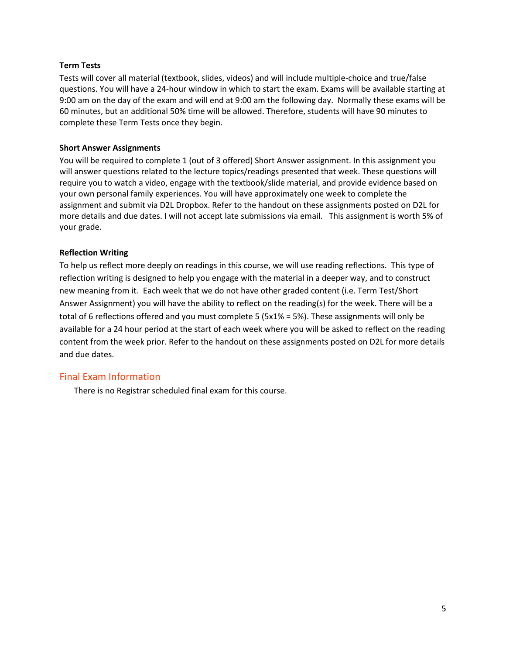#### **Term Tests**

Tests will cover all material (textbook, slides, videos) and will include multiple-choice and true/false questions. You will have a 24-hour window in which to start the exam. Exams will be available starting at 9:00 am on the day of the exam and will end at 9:00 am the following day. Normally these exams will be 60 minutes, but an additional 50% time will be allowed. Therefore, students will have 90 minutes to complete these Term Tests once they begin.

### **Short Answer Assignments**

You will be required to complete 1 (out of 3 offered) Short Answer assignment. In this assignment you will answer questions related to the lecture topics/readings presented that week. These questions will require you to watch a video, engage with the textbook/slide material, and provide evidence based on your own personal family experiences. You will have approximately one week to complete the assignment and submit via D2L Dropbox. Refer to the handout on these assignments posted on D2L for more details and due dates. I will not accept late submissions via email. This assignment is worth 5% of your grade.

### **Reflection Writing**

To help us reflect more deeply on readings in this course, we will use reading reflections. This type of reflection writing is designed to help you engage with the material in a deeper way, and to construct new meaning from it. Each week that we do not have other graded content (i.e. Term Test/Short Answer Assignment) you will have the ability to reflect on the reading(s) for the week. There will be a total of 6 reflections offered and you must complete 5 (5x1% = 5%). These assignments will only be available for a 24 hour period at the start of each week where you will be asked to reflect on the reading content from the week prior. Refer to the handout on these assignments posted on D2L for more details and due dates.

### Final Exam Information

There is no Registrar scheduled final exam for this course.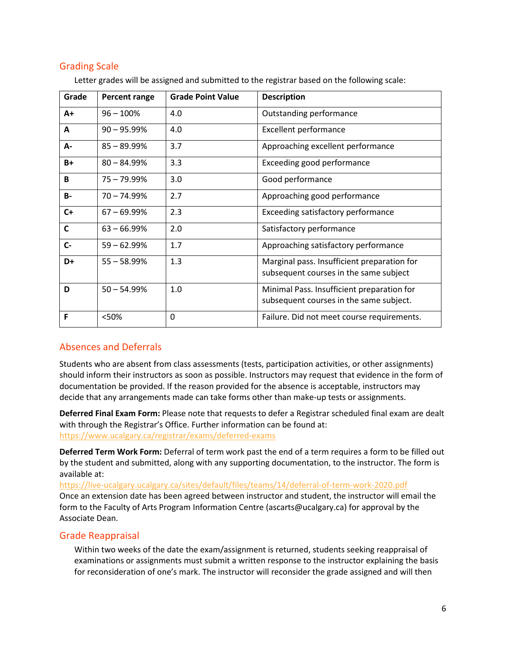### Grading Scale

| Grade        | Percent range  | <b>Grade Point Value</b> | <b>Description</b>                                                                    |
|--------------|----------------|--------------------------|---------------------------------------------------------------------------------------|
| A+           | $96 - 100\%$   | 4.0                      | Outstanding performance                                                               |
| A            | $90 - 95.99\%$ | 4.0                      | <b>Excellent performance</b>                                                          |
| А-           | $85 - 89.99%$  | 3.7                      | Approaching excellent performance                                                     |
| $B+$         | $80 - 84.99%$  | 3.3                      | Exceeding good performance                                                            |
| B            | $75 - 79.99\%$ | 3.0                      | Good performance                                                                      |
| <b>B-</b>    | $70 - 74.99%$  | 2.7                      | Approaching good performance                                                          |
| $C+$         | $67 - 69.99%$  | 2.3                      | Exceeding satisfactory performance                                                    |
| $\mathsf{C}$ | $63 - 66.99\%$ | 2.0                      | Satisfactory performance                                                              |
| $C -$        | $59 - 62.99%$  | 1.7                      | Approaching satisfactory performance                                                  |
| D+           | $55 - 58.99%$  | 1.3                      | Marginal pass. Insufficient preparation for<br>subsequent courses in the same subject |
| D            | $50 - 54.99%$  | 1.0                      | Minimal Pass. Insufficient preparation for<br>subsequent courses in the same subject. |
| F            | <50%           | 0                        | Failure. Did not meet course requirements.                                            |

Letter grades will be assigned and submitted to the registrar based on the following scale:

### Absences and Deferrals

Students who are absent from class assessments (tests, participation activities, or other assignments) should inform their instructors as soon as possible. Instructors may request that evidence in the form of documentation be provided. If the reason provided for the absence is acceptable, instructors may decide that any arrangements made can take forms other than make-up tests or assignments.

**Deferred Final Exam Form:** Please note that requests to defer a Registrar scheduled final exam are dealt with through the Registrar's Office. Further information can be found at: <https://www.ucalgary.ca/registrar/exams/deferred-exams>

**Deferred Term Work Form:** Deferral of term work past the end of a term requires a form to be filled out by the student and submitted, along with any supporting documentation, to the instructor. The form is available at:

<https://live-ucalgary.ucalgary.ca/sites/default/files/teams/14/deferral-of-term-work-2020.pdf> Once an extension date has been agreed between instructor and student, the instructor will email the form to the Faculty of Arts Program Information Centre (ascarts@ucalgary.ca) for approval by the Associate Dean.

### Grade Reappraisal

Within two weeks of the date the exam/assignment is returned, students seeking reappraisal of examinations or assignments must submit a written response to the instructor explaining the basis for reconsideration of one's mark. The instructor will reconsider the grade assigned and will then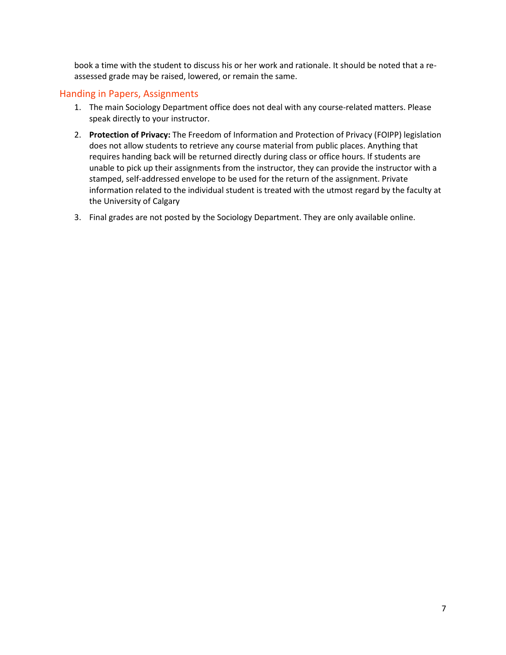book a time with the student to discuss his or her work and rationale. It should be noted that a reassessed grade may be raised, lowered, or remain the same.

### Handing in Papers, Assignments

- 1. The main Sociology Department office does not deal with any course-related matters. Please speak directly to your instructor.
- 2. **Protection of Privacy:** The Freedom of Information and Protection of Privacy (FOIPP) legislation does not allow students to retrieve any course material from public places. Anything that requires handing back will be returned directly during class or office hours. If students are unable to pick up their assignments from the instructor, they can provide the instructor with a stamped, self-addressed envelope to be used for the return of the assignment. Private information related to the individual student is treated with the utmost regard by the faculty at the University of Calgary
- 3. Final grades are not posted by the Sociology Department. They are only available online.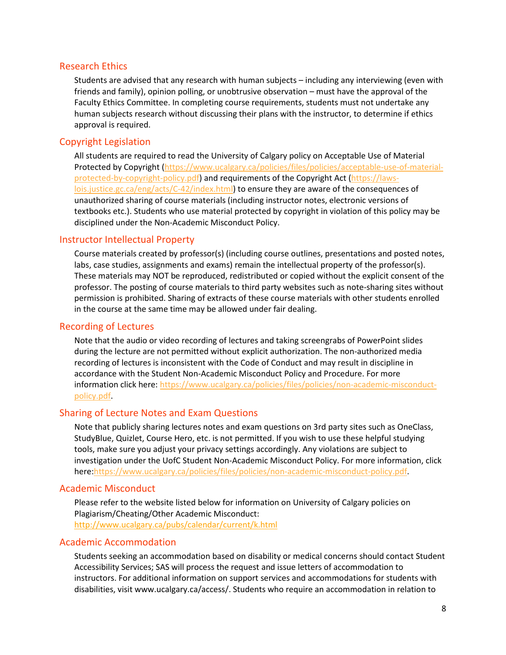#### Research Ethics

Students are advised that any research with human subjects – including any interviewing (even with friends and family), opinion polling, or unobtrusive observation – must have the approval of the Faculty Ethics Committee. In completing course requirements, students must not undertake any human subjects research without discussing their plans with the instructor, to determine if ethics approval is required.

### Copyright Legislation

All students are required to read the University of Calgary policy on Acceptable Use of Material Protected by Copyright [\(https://www.ucalgary.ca/policies/files/policies/acceptable-use-of-material](https://www.ucalgary.ca/policies/files/policies/acceptable-use-of-material-protected-by-copyright-policy.pdf)[protected-by-copyright-policy.pdf\)](https://www.ucalgary.ca/policies/files/policies/acceptable-use-of-material-protected-by-copyright-policy.pdf) and requirements of the Copyright Act [\(https://laws](https://laws-lois.justice.gc.ca/eng/acts/C-42/index.html)[lois.justice.gc.ca/eng/acts/C-42/index.html\)](https://laws-lois.justice.gc.ca/eng/acts/C-42/index.html) to ensure they are aware of the consequences of unauthorized sharing of course materials (including instructor notes, electronic versions of textbooks etc.). Students who use material protected by copyright in violation of this policy may be disciplined under the Non-Academic Misconduct Policy.

### Instructor Intellectual Property

Course materials created by professor(s) (including course outlines, presentations and posted notes, labs, case studies, assignments and exams) remain the intellectual property of the professor(s). These materials may NOT be reproduced, redistributed or copied without the explicit consent of the professor. The posting of course materials to third party websites such as note-sharing sites without permission is prohibited. Sharing of extracts of these course materials with other students enrolled in the course at the same time may be allowed under fair dealing.

#### Recording of Lectures

Note that the audio or video recording of lectures and taking screengrabs of PowerPoint slides during the lecture are not permitted without explicit authorization. The non-authorized media recording of lectures is inconsistent with the Code of Conduct and may result in discipline in accordance with the Student Non-Academic Misconduct Policy and Procedure. For more information click here: [https://www.ucalgary.ca/policies/files/policies/non-academic-misconduct](https://www.ucalgary.ca/policies/files/policies/non-academic-misconduct-policy.pdf)[policy.pdf.](https://www.ucalgary.ca/policies/files/policies/non-academic-misconduct-policy.pdf)

### Sharing of Lecture Notes and Exam Questions

Note that publicly sharing lectures notes and exam questions on 3rd party sites such as OneClass, StudyBlue, Quizlet, Course Hero, etc. is not permitted. If you wish to use these helpful studying tools, make sure you adjust your privacy settings accordingly. Any violations are subject to investigation under the UofC Student Non-Academic Misconduct Policy. For more information, click here[:https://www.ucalgary.ca/policies/files/policies/non-academic-misconduct-policy.pdf.](https://www.ucalgary.ca/policies/files/policies/non-academic-misconduct-policy.pdf)

#### Academic Misconduct

Please refer to the website listed below for information on University of Calgary policies on Plagiarism/Cheating/Other Academic Misconduct: <http://www.ucalgary.ca/pubs/calendar/current/k.html>

#### Academic Accommodation

Students seeking an accommodation based on disability or medical concerns should contact Student Accessibility Services; SAS will process the request and issue letters of accommodation to instructors. For additional information on support services and accommodations for students with disabilities, visit www.ucalgary.ca/access/. Students who require an accommodation in relation to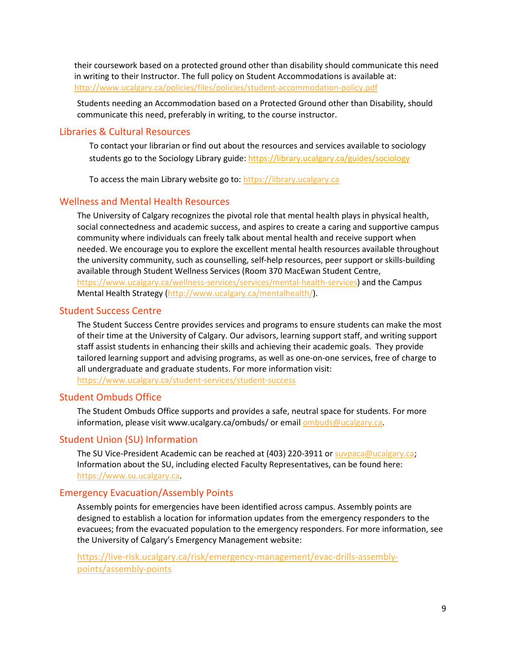their coursework based on a protected ground other than disability should communicate this need in writing to their Instructor. The full policy on Student Accommodations is available at: <http://www.ucalgary.ca/policies/files/policies/student-accommodation-policy.pdf>

Students needing an Accommodation based on a Protected Ground other than Disability, should communicate this need, preferably in writing, to the course instructor.

### Libraries & Cultural Resources

To contact your librarian or find out about the resources and services available to sociology students go to the Sociology Library guide[: https://library.ucalgary.ca/guides/sociology](https://library.ucalgary.ca/guides/sociology)

To access the main Library website go to: [https://library.ucalgary.ca](https://library.ucalgary.ca/)

### Wellness and Mental Health Resources

The University of Calgary recognizes the pivotal role that mental health plays in physical health, social connectedness and academic success, and aspires to create a caring and supportive campus community where individuals can freely talk about mental health and receive support when needed. We encourage you to explore the excellent mental health resources available throughout the university community, such as counselling, self-help resources, peer support or skills-building available through Student Wellness Services (Room 370 MacEwan Student Centre, [https://www.ucalgary.ca/wellness-services/services/mental-health-services\)](https://www.ucalgary.ca/wellness-services/services/mental-health-services) and the Campus Mental Health Strategy [\(http://www.ucalgary.ca/mentalhealth/\)](http://www.ucalgary.ca/mentalhealth/).

#### Student Success Centre

The Student Success Centre provides services and programs to ensure students can make the most of their time at the University of Calgary. Our advisors, learning support staff, and writing support staff assist students in enhancing their skills and achieving their academic goals. They provide tailored learning support and advising programs, as well as one-on-one services, free of charge to all undergraduate and graduate students. For more information visit: <https://www.ucalgary.ca/student-services/student-success>

#### Student Ombuds Office

The Student Ombuds Office supports and provides a safe, neutral space for students. For more information, please visit www.ucalgary.ca/ombuds/ or emai[l ombuds@ucalgary.ca.](file://trifs1.uc.ucalgary.ca/SOCI/Admin/07_Course%20Outlines/ombuds@ucalgary.ca)

#### Student Union (SU) Information

The SU Vice-President Academic can be reached at  $(403)$  220-3911 or [suvpaca@ucalgary.ca;](file://trifs1.uc.ucalgary.ca/SOCI/Admin/07_Course%20Outlines/suvpaca@ucalgary.ca) Information about the SU, including elected Faculty Representatives, can be found here: [https://www.su.ucalgary.ca.](https://www.su.ucalgary.ca/)

#### Emergency Evacuation/Assembly Points

Assembly points for emergencies have been identified across campus. Assembly points are designed to establish a location for information updates from the emergency responders to the evacuees; from the evacuated population to the emergency responders. For more information, see the University of Calgary's Emergency Management website:

[https://live-risk.ucalgary.ca/risk/emergency-management/evac-drills-assembly](https://live-risk.ucalgary.ca/risk/emergency-management/evac-drills-assembly-points/assembly-points)[points/assembly-points](https://live-risk.ucalgary.ca/risk/emergency-management/evac-drills-assembly-points/assembly-points)